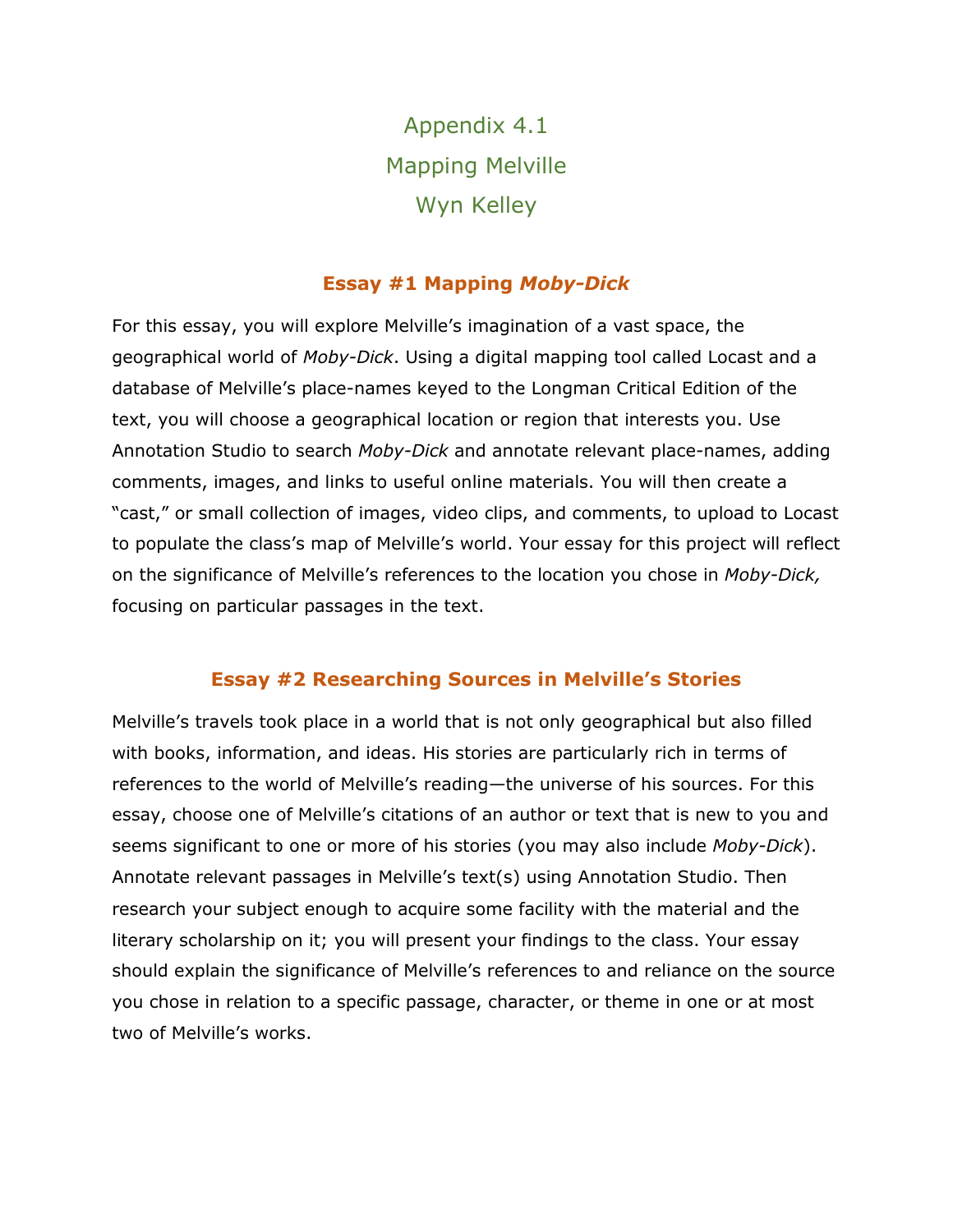Appendix 4.1 Mapping Melville Wyn Kelley

## **Essay #1 Mapping** *Moby-Dick*

For this essay, you will explore Melville's imagination of a vast space, the geographical world of *Moby-Dick*. Using a digital mapping tool called Locast and a database of Melville's place-names keyed to the Longman Critical Edition of the text, you will choose a geographical location or region that interests you. Use Annotation Studio to search *Moby-Dick* and annotate relevant place-names, adding comments, images, and links to useful online materials. You will then create a "cast," or small collection of images, video clips, and comments, to upload to Locast to populate the class's map of Melville's world. Your essay for this project will reflect on the significance of Melville's references to the location you chose in *Moby-Dick,* focusing on particular passages in the text.

## **Essay #2 Researching Sources in Melville's Stories**

Melville's travels took place in a world that is not only geographical but also filled with books, information, and ideas. His stories are particularly rich in terms of references to the world of Melville's reading—the universe of his sources. For this essay, choose one of Melville's citations of an author or text that is new to you and seems significant to one or more of his stories (you may also include *Moby-Dick*). Annotate relevant passages in Melville's text(s) using Annotation Studio. Then research your subject enough to acquire some facility with the material and the literary scholarship on it; you will present your findings to the class. Your essay should explain the significance of Melville's references to and reliance on the source you chose in relation to a specific passage, character, or theme in one or at most two of Melville's works.